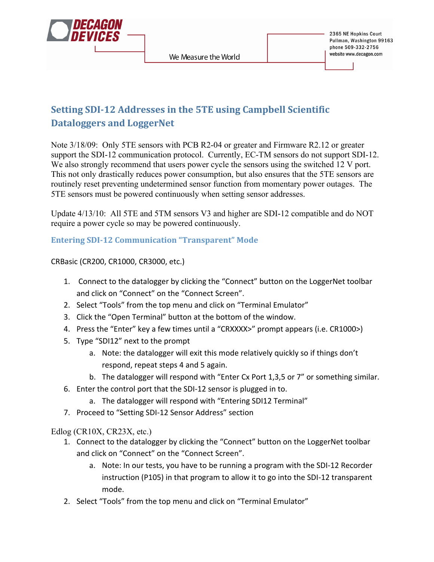

# **Setting SDI-12 Addresses in the 5TE using Campbell Scientific Dataloggers
and
LoggerNet**

Note 3/18/09: Only 5TE sensors with PCB R2-04 or greater and Firmware R2.12 or greater support the SDI-12 communication protocol. Currently, EC-TM sensors do not support SDI-12. We also strongly recommend that users power cycle the sensors using the switched 12 V port. This not only drastically reduces power consumption, but also ensures that the 5TE sensors are routinely reset preventing undetermined sensor function from momentary power outages. The 5TE sensors must be powered continuously when setting sensor addresses.

Update 4/13/10: All 5TE and 5TM sensors V3 and higher are SDI-12 compatible and do NOT require a power cycle so may be powered continuously.

# **Entering SDI-12 Communication "Transparent" Mode**

#### CRBasic
(CR200,
CR1000,
CR3000,
etc.)

- 1. Connect to the datalogger by clicking the "Connect" button on the LoggerNet toolbar and click on "Connect" on the "Connect Screen".
- 2. Select "Tools" from the top menu and click on "Terminal Emulator"
- 3. Click
the
"Open
Terminal"
button
at
the
bottom
of
the
window.
- 4. Press the "Enter" key a few times until a "CRXXXX>" prompt appears (i.e. CR1000>)
- 5. Type
"SDI12"
next
to
the
prompt
	- a. Note: the datalogger will exit this mode relatively quickly so if things don't respond,
	repeat
	steps
	4
	and
	5
	again.
	- b. The datalogger will respond with "Enter Cx Port 1,3,5 or 7" or something similar.
- 6. Enter
the
control
port
that
the
SDI‐12
sensor
is
plugged
in
to.
	- a. The datalogger will respond with "Entering SDI12 Terminal"
- 7. Proceed to "Setting SDI-12 Sensor Address" section

Edlog (CR10X, CR23X, etc.)

- 1. Connect to the datalogger by clicking the "Connect" button on the LoggerNet toolbar and click on "Connect" on the "Connect Screen".
	- a. Note: In our tests, you have to be running a program with the SDI-12 Recorder instruction (P105) in that program to allow it to go into the SDI-12 transparent mode.
- 2. Select "Tools" from the top menu and click on "Terminal Emulator"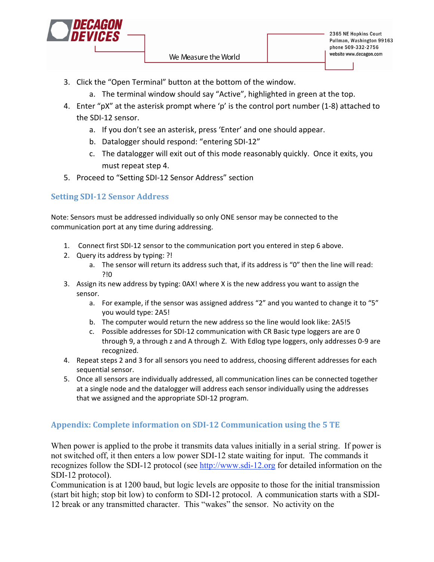

- 3. Click
the
"Open
Terminal"
button
at
the
bottom
of
the
window.
	- a. The terminal window should say "Active", highlighted in green at the top.
- 4. Enter "pX" at the asterisk prompt where 'p' is the control port number (1-8) attached to the
SDI‐12
sensor.
	- a. If you don't see an asterisk, press 'Enter' and one should appear.
	- b. Datalogger
	should
	respond:
	"entering
	SDI‐12"
	- c. The datalogger will exit out of this mode reasonably quickly. Once it exits, you must
	repeat
	step
	4.
- 5. Proceed
to
"Setting
SDI‐12
Sensor
Address"
section

# **Setting SDI-12 Sensor Address**

Note: Sensors must be addressed individually so only ONE sensor may be connected to the communication
port
at
any
time
during
addressing.

- 1. Connect first SDI-12 sensor to the communication port you entered in step 6 above.
- 2. Query
its
address
by
typing:
?!
	- a. The sensor will return its address such that, if its address is "0" then the line will read: ?!0
- 3. Assign its new address by typing: 0AX! where X is the new address you want to assign the sensor.
	- a. For example, if the sensor was assigned address "2" and you wanted to change it to "5" you
	would
	type:
	2A5!
	- b. The computer would return the new address so the line would look like: 2A5!5
	- c. Possible addresses for SDI-12 communication with CR Basic type loggers are are 0 through 9, a through z and A through Z. With Edlog type loggers, only addresses 0-9 are recognized.
- 4. Repeat steps 2 and 3 for all sensors you need to address, choosing different addresses for each sequential
sensor.
- 5. Once
all
sensors
are
individually
addressed,
all
communication
lines
can
be
connected
together at
a
single
node
and
the
datalogger
will
address
each
sensor
individually
using
the
addresses that
we
assigned
and
the
appropriate
SDI‐12
program.

## Appendix: Complete information on SDI-12 Communication using the 5 TE

When power is applied to the probe it transmits data values initially in a serial string. If power is not switched off, it then enters a low power SDI-12 state waiting for input. The commands it recognizes follow the SDI-12 protocol (see http://www.sdi-12.org for detailed information on the SDI-12 protocol).

Communication is at 1200 baud, but logic levels are opposite to those for the initial transmission (start bit high; stop bit low) to conform to SDI-12 protocol. A communication starts with a SDI-12 break or any transmitted character. This "wakes" the sensor. No activity on the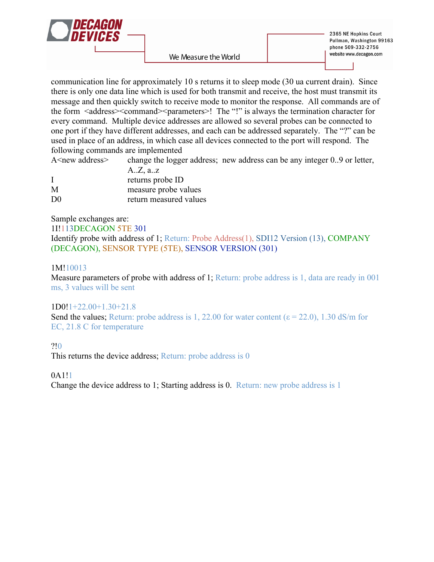

communication line for approximately 10 s returns it to sleep mode (30 ua current drain). Since there is only one data line which is used for both transmit and receive, the host must transmit its message and then quickly switch to receive mode to monitor the response. All commands are of the form <address><command><parameters>! The "!" is always the termination character for every command. Multiple device addresses are allowed so several probes can be connected to one port if they have different addresses, and each can be addressed separately. The "?" can be used in place of an address, in which case all devices connected to the port will respond. The following commands are implemented

A <new address> change the logger address; new address can be any integer 0..9 or letter,

|                | $A.Z$ , a.z            |
|----------------|------------------------|
|                | returns probe ID       |
| M              | measure probe values   |
| D <sub>0</sub> | return measured values |

Sample exchanges are:

1I!113DECAGON 5TE 301

Identify probe with address of 1; Return: Probe Address(1), SDI12 Version (13), COMPANY (DECAGON), SENSOR TYPE (5TE), SENSOR VERSION (301)

#### 1M!10013

Measure parameters of probe with address of 1; Return: probe address is 1, data are ready in 001 ms, 3 values will be sent

## 1D0!1+22.00+1.30+21.8

Send the values; Return: probe address is 1, 22.00 for water content ( $\varepsilon$  = 22.0), 1.30 dS/m for EC, 21.8 C for temperature

?!0

This returns the device address; Return: probe address is 0

0A1!1

Change the device address to 1; Starting address is 0. Return: new probe address is 1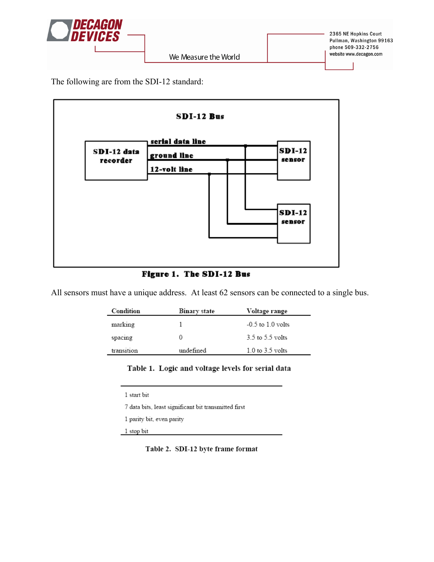

The following are from the SDI-12 standard:



## Figure 1. The SDI-12 Bus

All sensors must have a unique address. At least 62 sensors can be connected to a single bus.

| Condition  | Binary state | Voltage range         |
|------------|--------------|-----------------------|
| marking    |              | $-0.5$ to $1.0$ volts |
| spacing    | 0            | $3.5$ to $5.5$ volts  |
| transition | undefined    | $1.0$ to $3.5$ volts  |

### Table 1. Logic and voltage levels for serial data

 $1$  start bit  $\,$ 

7 data bits, least significant bit transmitted first

1 parity bit, even parity

1 stop bit

Table 2. SDI-12 byte frame format